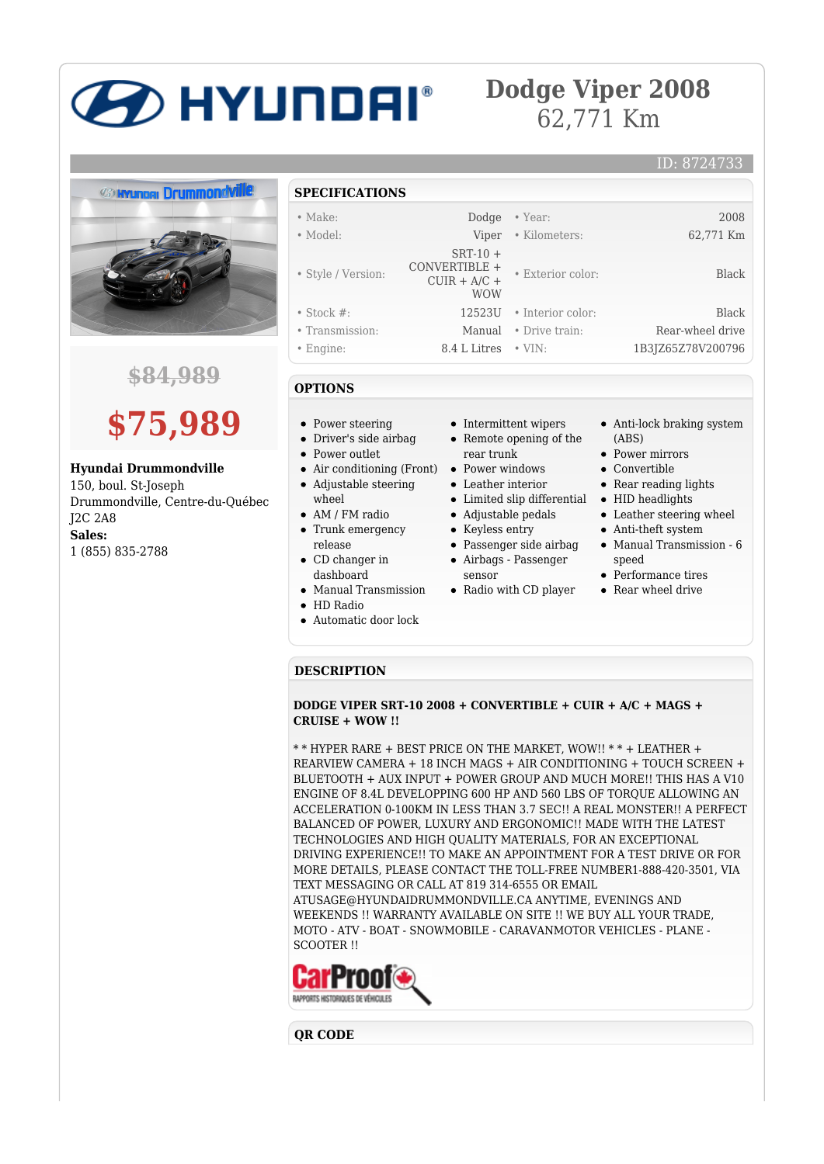# **BETHE HARGE STRIPS**

### **Dodge Viper 2008** 62,771 Km



**\$84,989**

## **\$75,989**

**Hyundai Drummondville**

150, boul. St-Joseph Drummondville, Centre-du-Québec J2C 2A8 **Sales:** 1 (855) 835-2788

#### **SPECIFICATIONS**

| $\bullet$ Make:    | Dodge                                                      | • Year:           | 2008              |
|--------------------|------------------------------------------------------------|-------------------|-------------------|
| $\bullet$ Model:   | Viper                                                      | • Kilometers:     | 62,771 Km         |
| • Style / Version: | $SRT-10+$<br>CONVERTIBLE +<br>$CUIR + A/C +$<br><b>WOW</b> | • Exterior color: | Black             |
| $\bullet$ Stock #: | 12523U                                                     | • Interior color: | Black             |
| • Transmission:    | Manual                                                     | • Drive train:    | Rear-wheel drive  |
| $\bullet$ Engine:  | 8.4 L Litres                                               | $\cdot$ VIN:      | 1B3JZ65Z78V200796 |

#### **OPTIONS**

- Power steering
- Driver's side airbag
- Power outlet
- Air conditioning (Front) Power windows
- Adjustable steering wheel
- AM / FM radio
- Trunk emergency release
- CD changer in dashboard
- Manual Transmission
- HD Radio
- Automatic door lock
- Intermittent wipers • Remote opening of the
	- rear trunk
- Leather interior
- 
- Adjustable pedals
- Keyless entry
- Passenger side airbag
- Airbags Passenger
	- sensor
- Radio with CD player

Anti-lock braking system (ABS)

ID: 8724733

- Power mirrors
- Convertible
- Rear reading lights
- Limited slip differential HID headlights
	- Leather steering wheel
	- Anti-theft system Manual Transmission - 6
	- speed
	- Performance tires
	- Rear wheel drive

#### **DESCRIPTION**

**DODGE VIPER SRT-10 2008 + CONVERTIBLE + CUIR + A/C + MAGS + CRUISE + WOW !!**

\* \* HYPER RARE + BEST PRICE ON THE MARKET, WOW!! \* \* + LEATHER + REARVIEW CAMERA + 18 INCH MAGS + AIR CONDITIONING + TOUCH SCREEN + BLUETOOTH + AUX INPUT + POWER GROUP AND MUCH MORE!! THIS HAS A V10 ENGINE OF 8.4L DEVELOPPING 600 HP AND 560 LBS OF TORQUE ALLOWING AN ACCELERATION 0-100KM IN LESS THAN 3.7 SEC!! A REAL MONSTER!! A PERFECT BALANCED OF POWER, LUXURY AND ERGONOMIC!! MADE WITH THE LATEST TECHNOLOGIES AND HIGH QUALITY MATERIALS, FOR AN EXCEPTIONAL DRIVING EXPERIENCE!! TO MAKE AN APPOINTMENT FOR A TEST DRIVE OR FOR MORE DETAILS, PLEASE CONTACT THE TOLL-FREE NUMBER1-888-420-3501, VIA TEXT MESSAGING OR CALL AT 819 314-6555 OR EMAIL ATUSAGE@HYUNDAIDRUMMONDVILLE.CA ANYTIME, EVENINGS AND WEEKENDS !! WARRANTY AVAILABLE ON SITE !! WE BUY ALL YOUR TRADE,

MOTO - ATV - BOAT - SNOWMOBILE - CARAVANMOTOR VEHICLES - PLANE - SCOOTER !!



**QR CODE**